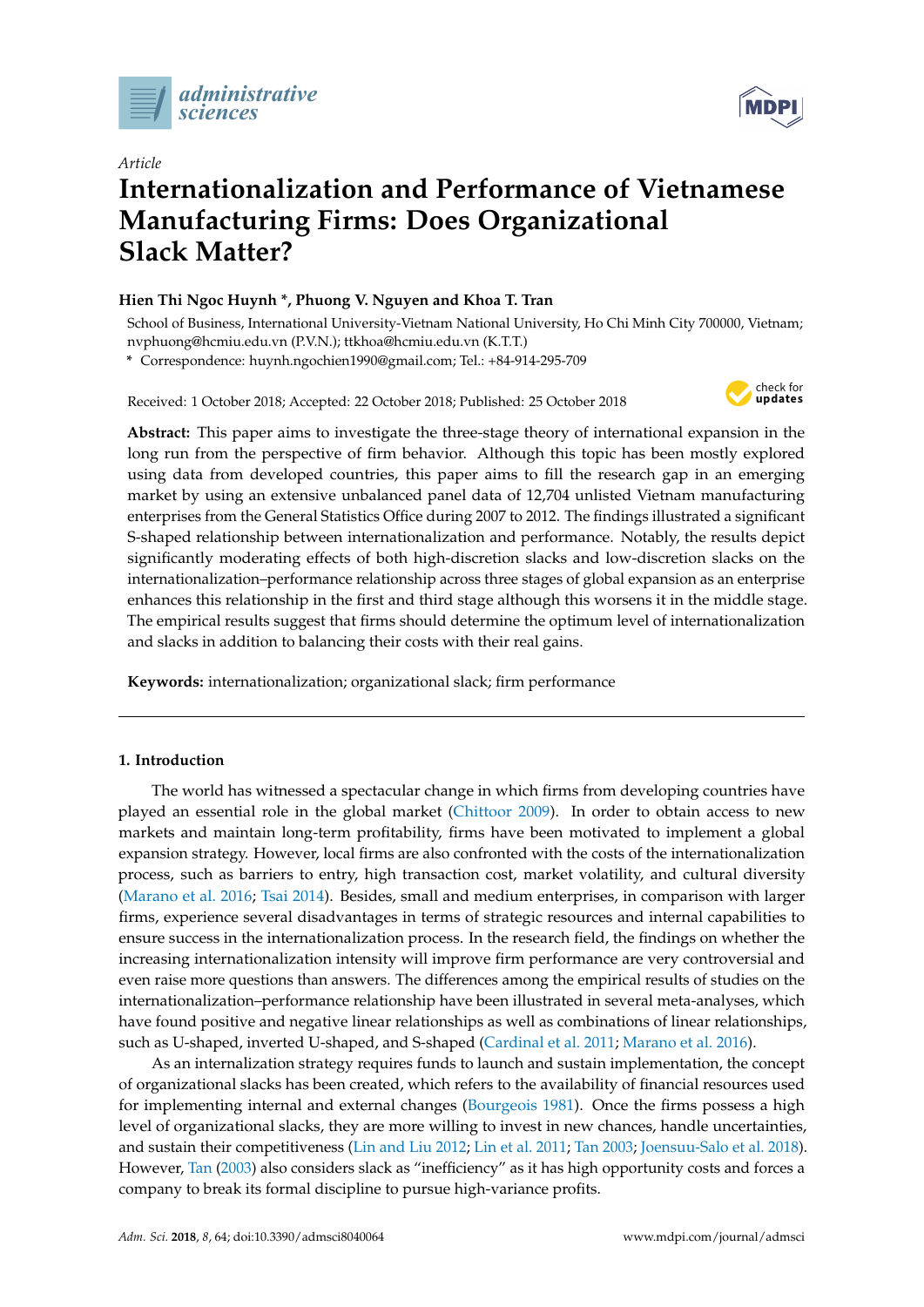



# *Article* **Internationalization and Performance of Vietnamese Manufacturing Firms: Does Organizational Slack Matter?**

### **Hien Thi Ngoc Huynh \*, Phuong V. Nguyen and Khoa T. Tran**

School of Business, International University-Vietnam National University, Ho Chi Minh City 700000, Vietnam; nvphuong@hcmiu.edu.vn (P.V.N.); ttkhoa@hcmiu.edu.vn (K.T.T.)

**\*** Correspondence: huynh.ngochien1990@gmail.com; Tel.: +84-914-295-709

Received: 1 October 2018; Accepted: 22 October 2018; Published: 25 October 2018



**Abstract:** This paper aims to investigate the three-stage theory of international expansion in the long run from the perspective of firm behavior. Although this topic has been mostly explored using data from developed countries, this paper aims to fill the research gap in an emerging market by using an extensive unbalanced panel data of 12,704 unlisted Vietnam manufacturing enterprises from the General Statistics Office during 2007 to 2012. The findings illustrated a significant S-shaped relationship between internationalization and performance. Notably, the results depict significantly moderating effects of both high-discretion slacks and low-discretion slacks on the internationalization–performance relationship across three stages of global expansion as an enterprise enhances this relationship in the first and third stage although this worsens it in the middle stage. The empirical results suggest that firms should determine the optimum level of internationalization and slacks in addition to balancing their costs with their real gains.

**Keywords:** internationalization; organizational slack; firm performance

### **1. Introduction**

The world has witnessed a spectacular change in which firms from developing countries have played an essential role in the global market [\(Chittoor](#page-13-0) [2009\)](#page-13-0). In order to obtain access to new markets and maintain long-term profitability, firms have been motivated to implement a global expansion strategy. However, local firms are also confronted with the costs of the internationalization process, such as barriers to entry, high transaction cost, market volatility, and cultural diversity [\(Marano et al.](#page-14-0) [2016;](#page-14-0) [Tsai](#page-14-1) [2014\)](#page-14-1). Besides, small and medium enterprises, in comparison with larger firms, experience several disadvantages in terms of strategic resources and internal capabilities to ensure success in the internationalization process. In the research field, the findings on whether the increasing internationalization intensity will improve firm performance are very controversial and even raise more questions than answers. The differences among the empirical results of studies on the internationalization–performance relationship have been illustrated in several meta-analyses, which have found positive and negative linear relationships as well as combinations of linear relationships, such as U-shaped, inverted U-shaped, and S-shaped [\(Cardinal et al.](#page-13-1) [2011;](#page-13-1) [Marano et al.](#page-14-0) [2016\)](#page-14-0).

As an internalization strategy requires funds to launch and sustain implementation, the concept of organizational slacks has been created, which refers to the availability of financial resources used for implementing internal and external changes [\(Bourgeois](#page-13-2) [1981\)](#page-13-2). Once the firms possess a high level of organizational slacks, they are more willing to invest in new chances, handle uncertainties, and sustain their competitiveness [\(Lin and Liu](#page-14-2) [2012;](#page-14-2) [Lin et al.](#page-14-3) [2011;](#page-14-3) [Tan](#page-14-4) [2003;](#page-14-4) [Joensuu-Salo et al.](#page-13-3) [2018\)](#page-13-3). However, [Tan](#page-14-4) [\(2003\)](#page-14-4) also considers slack as "inefficiency" as it has high opportunity costs and forces a company to break its formal discipline to pursue high-variance profits.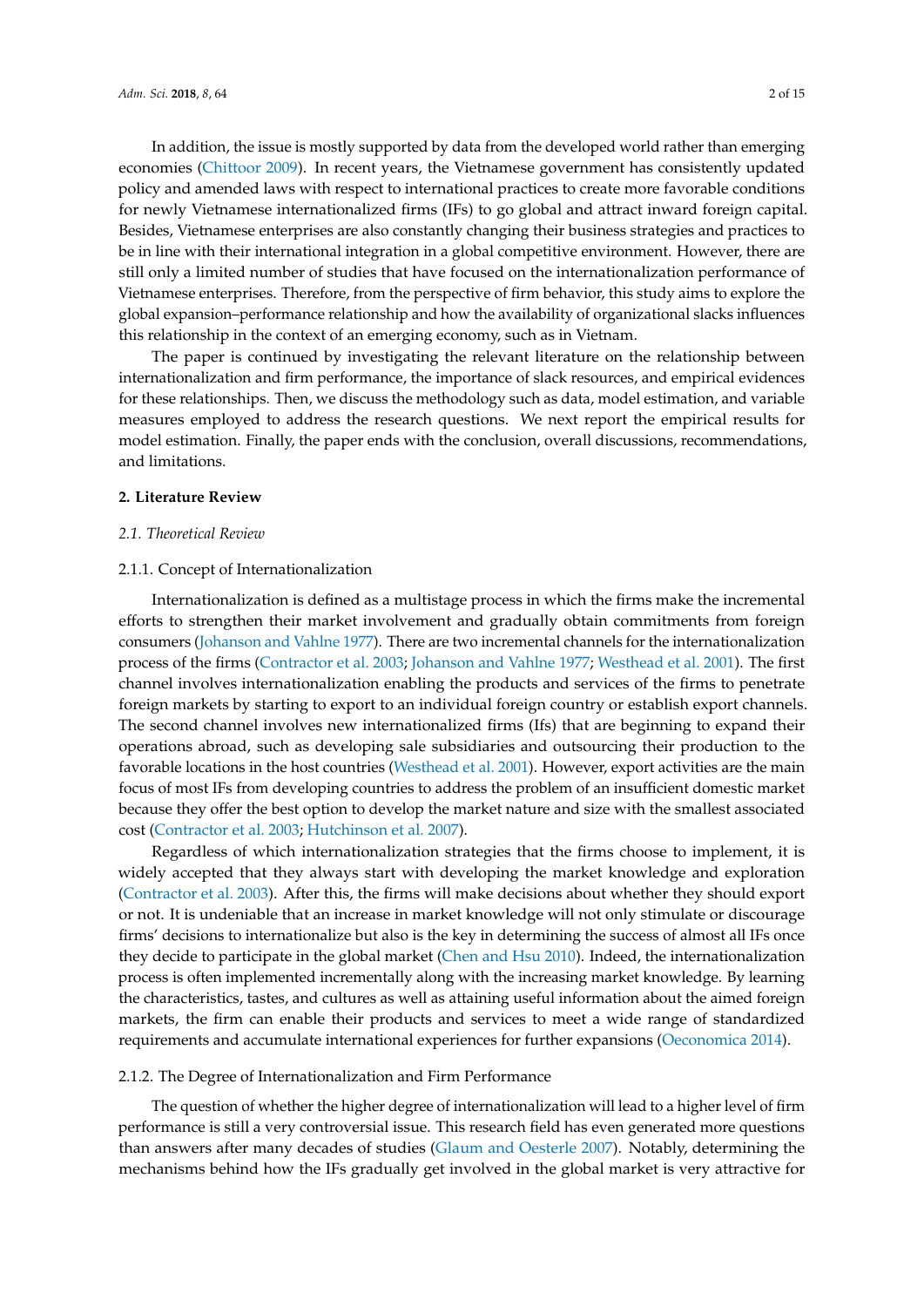In addition, the issue is mostly supported by data from the developed world rather than emerging economies [\(Chittoor](#page-13-0) [2009\)](#page-13-0). In recent years, the Vietnamese government has consistently updated policy and amended laws with respect to international practices to create more favorable conditions for newly Vietnamese internationalized firms (IFs) to go global and attract inward foreign capital. Besides, Vietnamese enterprises are also constantly changing their business strategies and practices to be in line with their international integration in a global competitive environment. However, there are still only a limited number of studies that have focused on the internationalization performance of Vietnamese enterprises. Therefore, from the perspective of firm behavior, this study aims to explore the global expansion–performance relationship and how the availability of organizational slacks influences this relationship in the context of an emerging economy, such as in Vietnam.

The paper is continued by investigating the relevant literature on the relationship between internationalization and firm performance, the importance of slack resources, and empirical evidences for these relationships. Then, we discuss the methodology such as data, model estimation, and variable measures employed to address the research questions. We next report the empirical results for model estimation. Finally, the paper ends with the conclusion, overall discussions, recommendations, and limitations.

#### **2. Literature Review**

#### *2.1. Theoretical Review*

#### 2.1.1. Concept of Internationalization

Internationalization is defined as a multistage process in which the firms make the incremental efforts to strengthen their market involvement and gradually obtain commitments from foreign consumers [\(Johanson and Vahlne](#page-13-4) [1977\)](#page-13-4). There are two incremental channels for the internationalization process of the firms [\(Contractor et al.](#page-13-5) [2003;](#page-13-5) [Johanson and Vahlne](#page-13-4) [1977;](#page-13-4) [Westhead et al.](#page-14-5) [2001\)](#page-14-5). The first channel involves internationalization enabling the products and services of the firms to penetrate foreign markets by starting to export to an individual foreign country or establish export channels. The second channel involves new internationalized firms (Ifs) that are beginning to expand their operations abroad, such as developing sale subsidiaries and outsourcing their production to the favorable locations in the host countries [\(Westhead et al.](#page-14-5) [2001\)](#page-14-5). However, export activities are the main focus of most IFs from developing countries to address the problem of an insufficient domestic market because they offer the best option to develop the market nature and size with the smallest associated cost [\(Contractor et al.](#page-13-5) [2003;](#page-13-5) [Hutchinson et al.](#page-13-6) [2007\)](#page-13-6).

Regardless of which internationalization strategies that the firms choose to implement, it is widely accepted that they always start with developing the market knowledge and exploration [\(Contractor et al.](#page-13-5) [2003\)](#page-13-5). After this, the firms will make decisions about whether they should export or not. It is undeniable that an increase in market knowledge will not only stimulate or discourage firms' decisions to internationalize but also is the key in determining the success of almost all IFs once they decide to participate in the global market [\(Chen and Hsu](#page-13-7) [2010\)](#page-13-7). Indeed, the internationalization process is often implemented incrementally along with the increasing market knowledge. By learning the characteristics, tastes, and cultures as well as attaining useful information about the aimed foreign markets, the firm can enable their products and services to meet a wide range of standardized requirements and accumulate international experiences for further expansions [\(Oeconomica](#page-14-6) [2014\)](#page-14-6).

#### 2.1.2. The Degree of Internationalization and Firm Performance

The question of whether the higher degree of internationalization will lead to a higher level of firm performance is still a very controversial issue. This research field has even generated more questions than answers after many decades of studies [\(Glaum and Oesterle](#page-13-8) [2007\)](#page-13-8). Notably, determining the mechanisms behind how the IFs gradually get involved in the global market is very attractive for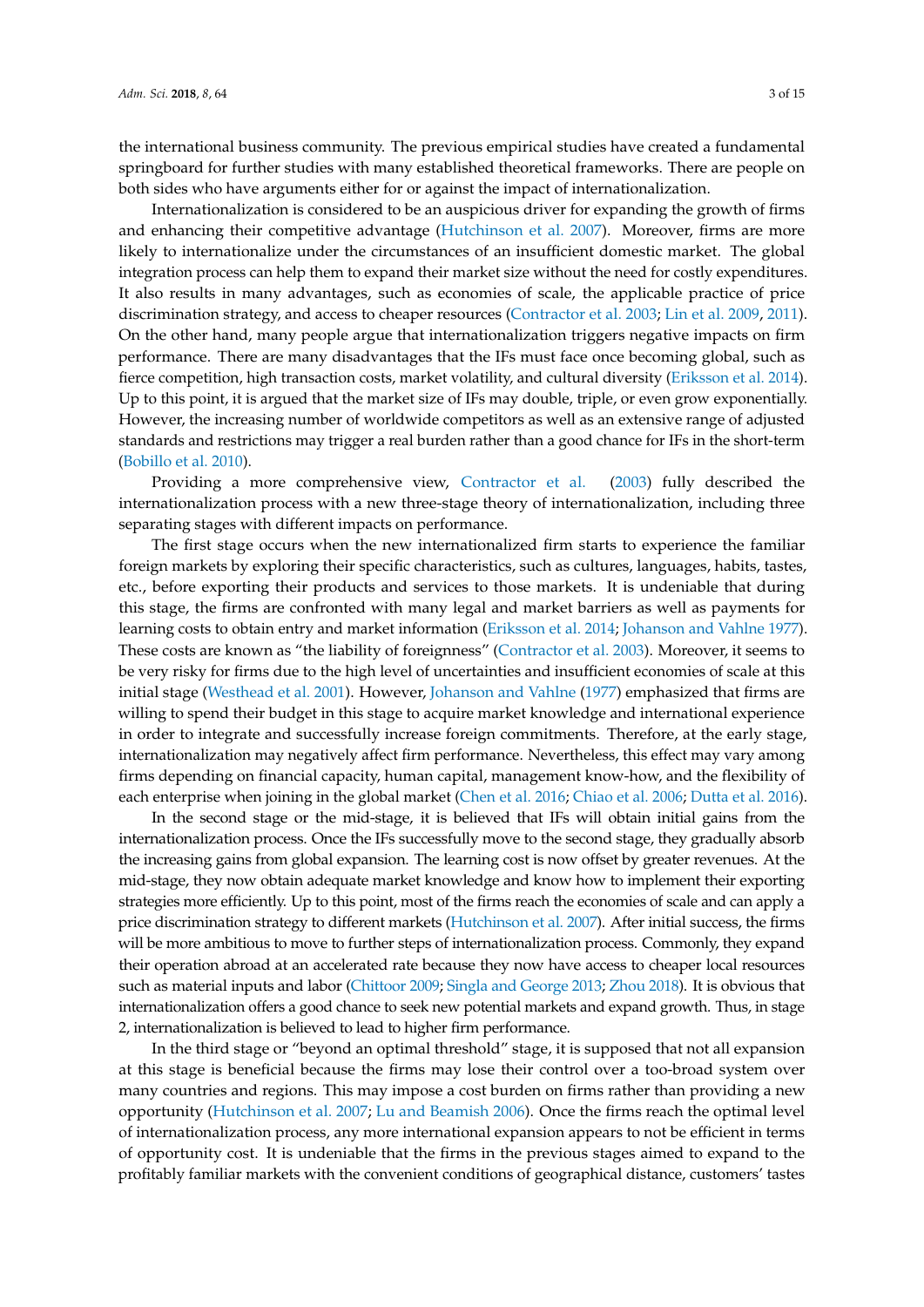the international business community. The previous empirical studies have created a fundamental springboard for further studies with many established theoretical frameworks. There are people on both sides who have arguments either for or against the impact of internationalization.

Internationalization is considered to be an auspicious driver for expanding the growth of firms and enhancing their competitive advantage [\(Hutchinson et al.](#page-13-6) [2007\)](#page-13-6). Moreover, firms are more likely to internationalize under the circumstances of an insufficient domestic market. The global integration process can help them to expand their market size without the need for costly expenditures. It also results in many advantages, such as economies of scale, the applicable practice of price discrimination strategy, and access to cheaper resources [\(Contractor et al.](#page-13-5) [2003;](#page-13-5) [Lin et al.](#page-14-7) [2009,](#page-14-7) [2011\)](#page-14-3). On the other hand, many people argue that internationalization triggers negative impacts on firm performance. There are many disadvantages that the IFs must face once becoming global, such as fierce competition, high transaction costs, market volatility, and cultural diversity [\(Eriksson et al.](#page-13-9) [2014\)](#page-13-9). Up to this point, it is argued that the market size of IFs may double, triple, or even grow exponentially. However, the increasing number of worldwide competitors as well as an extensive range of adjusted standards and restrictions may trigger a real burden rather than a good chance for IFs in the short-term [\(Bobillo et al.](#page-13-10) [2010\)](#page-13-10).

Providing a more comprehensive view, [Contractor et al.](#page-13-5) [\(2003\)](#page-13-5) fully described the internationalization process with a new three-stage theory of internationalization, including three separating stages with different impacts on performance.

The first stage occurs when the new internationalized firm starts to experience the familiar foreign markets by exploring their specific characteristics, such as cultures, languages, habits, tastes, etc., before exporting their products and services to those markets. It is undeniable that during this stage, the firms are confronted with many legal and market barriers as well as payments for learning costs to obtain entry and market information [\(Eriksson et al.](#page-13-9) [2014;](#page-13-9) [Johanson and Vahlne](#page-13-4) [1977\)](#page-13-4). These costs are known as "the liability of foreignness" [\(Contractor et al.](#page-13-5) [2003\)](#page-13-5). Moreover, it seems to be very risky for firms due to the high level of uncertainties and insufficient economies of scale at this initial stage [\(Westhead et al.](#page-14-5) [2001\)](#page-14-5). However, [Johanson and Vahlne](#page-13-4) [\(1977\)](#page-13-4) emphasized that firms are willing to spend their budget in this stage to acquire market knowledge and international experience in order to integrate and successfully increase foreign commitments. Therefore, at the early stage, internationalization may negatively affect firm performance. Nevertheless, this effect may vary among firms depending on financial capacity, human capital, management know-how, and the flexibility of each enterprise when joining in the global market [\(Chen et al.](#page-13-11) [2016;](#page-13-11) [Chiao et al.](#page-13-12) [2006;](#page-13-12) [Dutta et al.](#page-13-13) [2016\)](#page-13-13).

In the second stage or the mid-stage, it is believed that IFs will obtain initial gains from the internationalization process. Once the IFs successfully move to the second stage, they gradually absorb the increasing gains from global expansion. The learning cost is now offset by greater revenues. At the mid-stage, they now obtain adequate market knowledge and know how to implement their exporting strategies more efficiently. Up to this point, most of the firms reach the economies of scale and can apply a price discrimination strategy to different markets [\(Hutchinson et al.](#page-13-6) [2007\)](#page-13-6). After initial success, the firms will be more ambitious to move to further steps of internationalization process. Commonly, they expand their operation abroad at an accelerated rate because they now have access to cheaper local resources such as material inputs and labor [\(Chittoor](#page-13-0) [2009;](#page-13-0) [Singla and George](#page-14-8) [2013;](#page-14-8) [Zhou](#page-14-9) [2018\)](#page-14-9). It is obvious that internationalization offers a good chance to seek new potential markets and expand growth. Thus, in stage 2, internationalization is believed to lead to higher firm performance.

In the third stage or "beyond an optimal threshold" stage, it is supposed that not all expansion at this stage is beneficial because the firms may lose their control over a too-broad system over many countries and regions. This may impose a cost burden on firms rather than providing a new opportunity [\(Hutchinson et al.](#page-13-6) [2007;](#page-13-6) [Lu and Beamish](#page-14-10) [2006\)](#page-14-10). Once the firms reach the optimal level of internationalization process, any more international expansion appears to not be efficient in terms of opportunity cost. It is undeniable that the firms in the previous stages aimed to expand to the profitably familiar markets with the convenient conditions of geographical distance, customers' tastes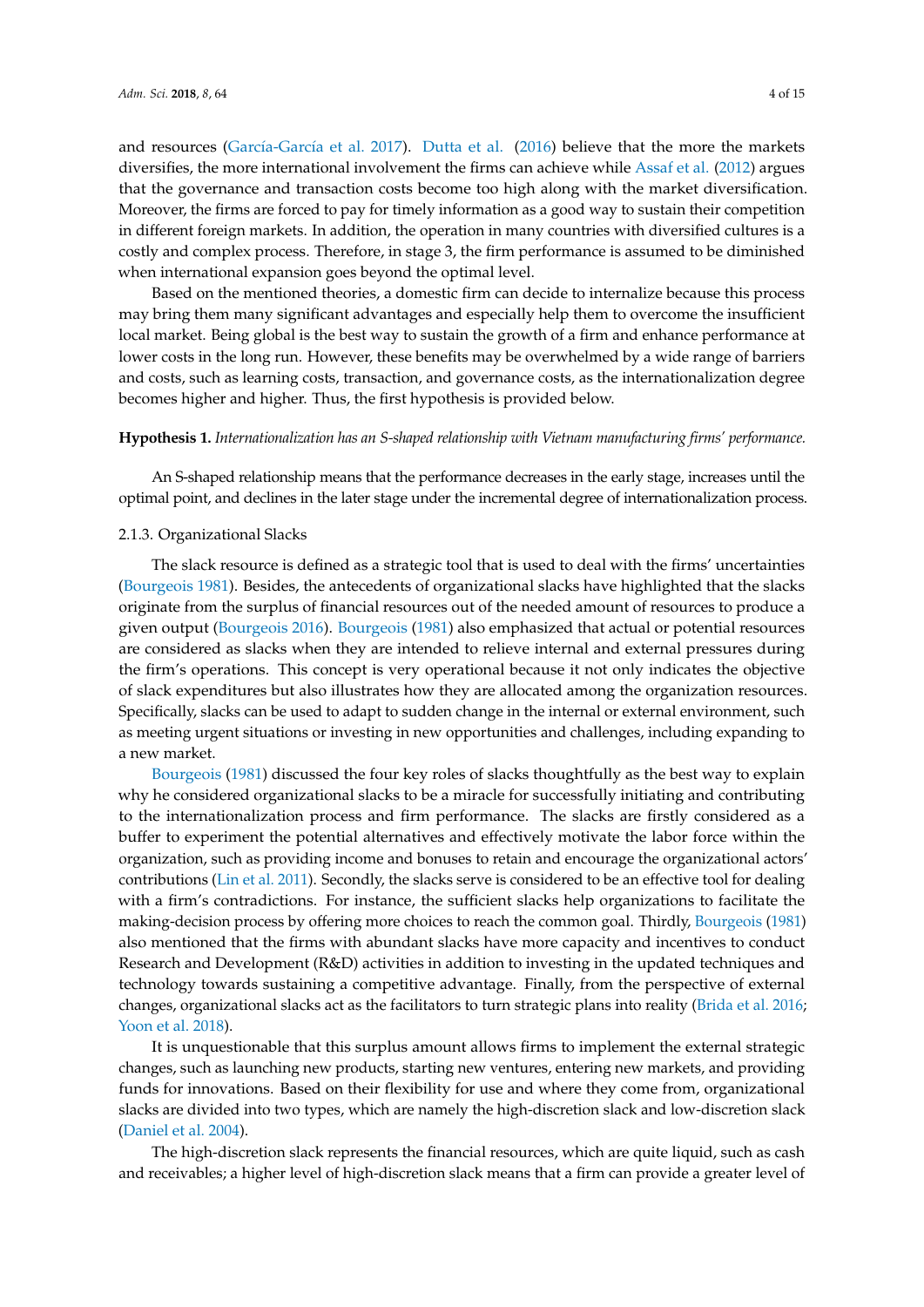and resources (García-Garcí[a et al.](#page-13-14) [2017\)](#page-13-14). [Dutta et al.](#page-13-13) [\(2016\)](#page-13-13) believe that the more the markets diversifies, the more international involvement the firms can achieve while [Assaf et al.](#page-13-15) [\(2012\)](#page-13-15) argues that the governance and transaction costs become too high along with the market diversification. Moreover, the firms are forced to pay for timely information as a good way to sustain their competition in different foreign markets. In addition, the operation in many countries with diversified cultures is a costly and complex process. Therefore, in stage 3, the firm performance is assumed to be diminished when international expansion goes beyond the optimal level.

Based on the mentioned theories, a domestic firm can decide to internalize because this process may bring them many significant advantages and especially help them to overcome the insufficient local market. Being global is the best way to sustain the growth of a firm and enhance performance at lower costs in the long run. However, these benefits may be overwhelmed by a wide range of barriers and costs, such as learning costs, transaction, and governance costs, as the internationalization degree becomes higher and higher. Thus, the first hypothesis is provided below.

#### **Hypothesis 1.** *Internationalization has an S-shaped relationship with Vietnam manufacturing firms' performance.*

An S-shaped relationship means that the performance decreases in the early stage, increases until the optimal point, and declines in the later stage under the incremental degree of internationalization process.

#### 2.1.3. Organizational Slacks

The slack resource is defined as a strategic tool that is used to deal with the firms' uncertainties [\(Bourgeois](#page-13-2) [1981\)](#page-13-2). Besides, the antecedents of organizational slacks have highlighted that the slacks originate from the surplus of financial resources out of the needed amount of resources to produce a given output [\(Bourgeois](#page-13-16) [2016\)](#page-13-16). [Bourgeois](#page-13-2) [\(1981\)](#page-13-2) also emphasized that actual or potential resources are considered as slacks when they are intended to relieve internal and external pressures during the firm's operations. This concept is very operational because it not only indicates the objective of slack expenditures but also illustrates how they are allocated among the organization resources. Specifically, slacks can be used to adapt to sudden change in the internal or external environment, such as meeting urgent situations or investing in new opportunities and challenges, including expanding to a new market.

[Bourgeois](#page-13-2) [\(1981\)](#page-13-2) discussed the four key roles of slacks thoughtfully as the best way to explain why he considered organizational slacks to be a miracle for successfully initiating and contributing to the internationalization process and firm performance. The slacks are firstly considered as a buffer to experiment the potential alternatives and effectively motivate the labor force within the organization, such as providing income and bonuses to retain and encourage the organizational actors' contributions [\(Lin et al.](#page-14-3) [2011\)](#page-14-3). Secondly, the slacks serve is considered to be an effective tool for dealing with a firm's contradictions. For instance, the sufficient slacks help organizations to facilitate the making-decision process by offering more choices to reach the common goal. Thirdly, [Bourgeois](#page-13-2) [\(1981\)](#page-13-2) also mentioned that the firms with abundant slacks have more capacity and incentives to conduct Research and Development (R&D) activities in addition to investing in the updated techniques and technology towards sustaining a competitive advantage. Finally, from the perspective of external changes, organizational slacks act as the facilitators to turn strategic plans into reality [\(Brida et al.](#page-13-17) [2016;](#page-13-17) [Yoon et al.](#page-14-11) [2018\)](#page-14-11).

It is unquestionable that this surplus amount allows firms to implement the external strategic changes, such as launching new products, starting new ventures, entering new markets, and providing funds for innovations. Based on their flexibility for use and where they come from, organizational slacks are divided into two types, which are namely the high-discretion slack and low-discretion slack [\(Daniel et al.](#page-13-18) [2004\)](#page-13-18).

The high-discretion slack represents the financial resources, which are quite liquid, such as cash and receivables; a higher level of high-discretion slack means that a firm can provide a greater level of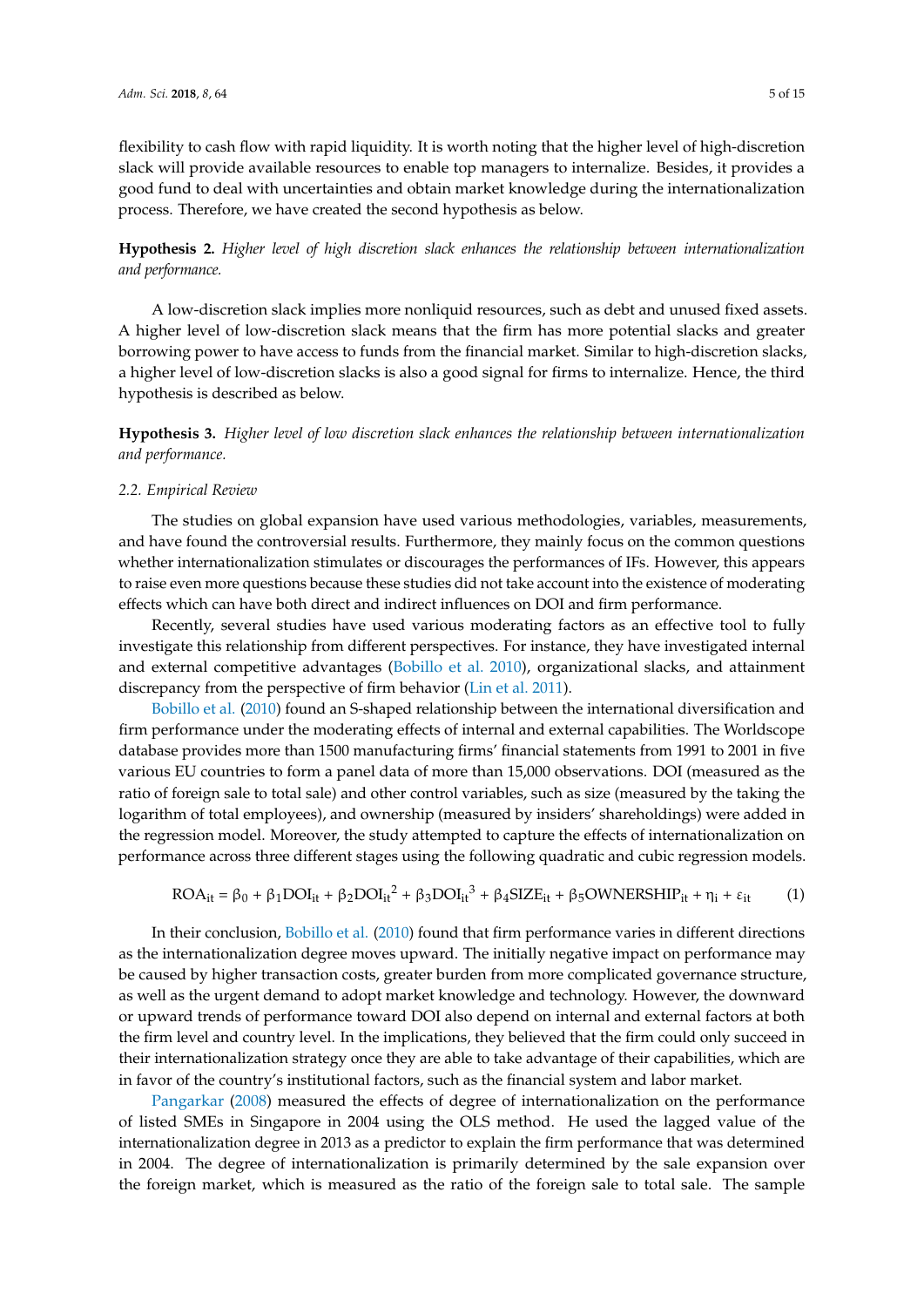flexibility to cash flow with rapid liquidity. It is worth noting that the higher level of high-discretion slack will provide available resources to enable top managers to internalize. Besides, it provides a good fund to deal with uncertainties and obtain market knowledge during the internationalization process. Therefore, we have created the second hypothesis as below.

**Hypothesis 2.** *Higher level of high discretion slack enhances the relationship between internationalization and performance.*

A low-discretion slack implies more nonliquid resources, such as debt and unused fixed assets. A higher level of low-discretion slack means that the firm has more potential slacks and greater borrowing power to have access to funds from the financial market. Similar to high-discretion slacks, a higher level of low-discretion slacks is also a good signal for firms to internalize. Hence, the third hypothesis is described as below.

**Hypothesis 3.** *Higher level of low discretion slack enhances the relationship between internationalization and performance.*

#### *2.2. Empirical Review*

The studies on global expansion have used various methodologies, variables, measurements, and have found the controversial results. Furthermore, they mainly focus on the common questions whether internationalization stimulates or discourages the performances of IFs. However, this appears to raise even more questions because these studies did not take account into the existence of moderating effects which can have both direct and indirect influences on DOI and firm performance.

Recently, several studies have used various moderating factors as an effective tool to fully investigate this relationship from different perspectives. For instance, they have investigated internal and external competitive advantages [\(Bobillo et al.](#page-13-10) [2010\)](#page-13-10), organizational slacks, and attainment discrepancy from the perspective of firm behavior [\(Lin et al.](#page-14-3) [2011\)](#page-14-3).

[Bobillo et al.](#page-13-10) [\(2010\)](#page-13-10) found an S-shaped relationship between the international diversification and firm performance under the moderating effects of internal and external capabilities. The Worldscope database provides more than 1500 manufacturing firms' financial statements from 1991 to 2001 in five various EU countries to form a panel data of more than 15,000 observations. DOI (measured as the ratio of foreign sale to total sale) and other control variables, such as size (measured by the taking the logarithm of total employees), and ownership (measured by insiders' shareholdings) were added in the regression model. Moreover, the study attempted to capture the effects of internationalization on performance across three different stages using the following quadratic and cubic regression models.

$$
ROA_{it} = \beta_0 + \beta_1 DOI_{it} + \beta_2DOI_{it}^2 + \beta_3DOI_{it}^3 + \beta_4 SIZE_{it} + \beta_5OWNERSHIP_{it} + \eta_i + \varepsilon_{it}
$$
 (1)

In their conclusion, [Bobillo et al.](#page-13-10) [\(2010\)](#page-13-10) found that firm performance varies in different directions as the internationalization degree moves upward. The initially negative impact on performance may be caused by higher transaction costs, greater burden from more complicated governance structure, as well as the urgent demand to adopt market knowledge and technology. However, the downward or upward trends of performance toward DOI also depend on internal and external factors at both the firm level and country level. In the implications, they believed that the firm could only succeed in their internationalization strategy once they are able to take advantage of their capabilities, which are in favor of the country's institutional factors, such as the financial system and labor market.

[Pangarkar](#page-14-12) [\(2008\)](#page-14-12) measured the effects of degree of internationalization on the performance of listed SMEs in Singapore in 2004 using the OLS method. He used the lagged value of the internationalization degree in 2013 as a predictor to explain the firm performance that was determined in 2004. The degree of internationalization is primarily determined by the sale expansion over the foreign market, which is measured as the ratio of the foreign sale to total sale. The sample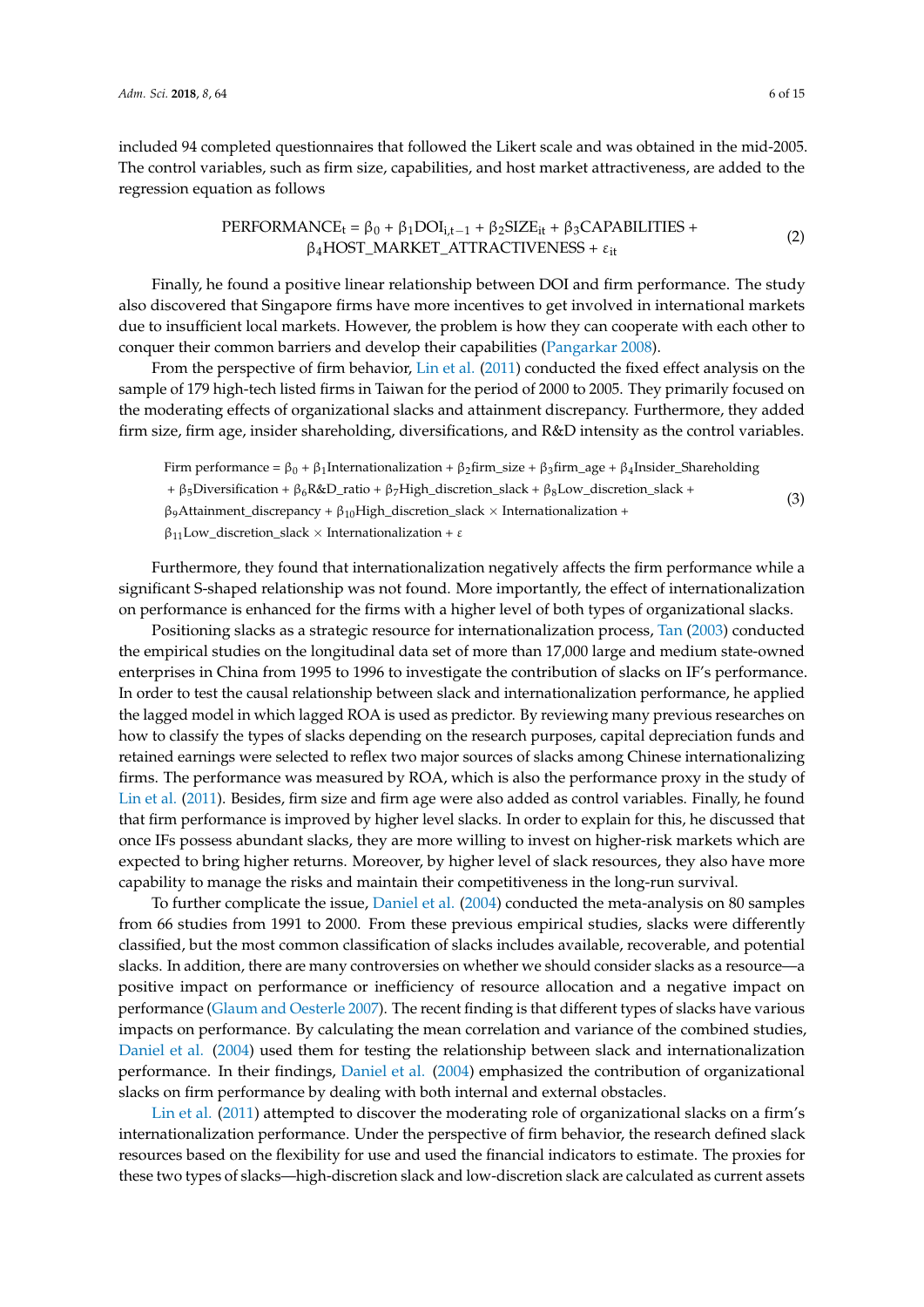included 94 completed questionnaires that followed the Likert scale and was obtained in the mid-2005. The control variables, such as firm size, capabilities, and host market attractiveness, are added to the regression equation as follows

PERFORMANCE<sub>t</sub> = 
$$
β_0 + β_1DOI_{i,t-1} + β_2SIZE_{it} + β_3CAPABILITIES + β_4HOST_MARKET_ATTRACTIVENESS + εit
$$
 (2)

Finally, he found a positive linear relationship between DOI and firm performance. The study also discovered that Singapore firms have more incentives to get involved in international markets due to insufficient local markets. However, the problem is how they can cooperate with each other to conquer their common barriers and develop their capabilities [\(Pangarkar](#page-14-12) [2008\)](#page-14-12).

From the perspective of firm behavior, [Lin et al.](#page-14-3) [\(2011\)](#page-14-3) conducted the fixed effect analysis on the sample of 179 high-tech listed firms in Taiwan for the period of 2000 to 2005. They primarily focused on the moderating effects of organizational slacks and attainment discrepancy. Furthermore, they added firm size, firm age, insider shareholding, diversifications, and R&D intensity as the control variables.

Firm performance =  $\beta_0 + \beta_1$ Internationalization +  $\beta_2$ firm\_size +  $\beta_3$ firm\_age +  $\beta_4$ Insider\_Shareholding + β<sub>5</sub>Diversification + β<sub>6</sub>R&D\_ratio + β<sub>7</sub>High\_discretion\_slack + β<sub>8</sub>Low\_discretion\_slack +  $β$ <sub>9</sub>Attainment\_discrepancy +  $β$ <sub>10</sub>High\_discretion\_slack × Internationalization + (3)

β11Low\_discretion\_slack × Internationalization + ε

Furthermore, they found that internationalization negatively affects the firm performance while a significant S-shaped relationship was not found. More importantly, the effect of internationalization on performance is enhanced for the firms with a higher level of both types of organizational slacks.

Positioning slacks as a strategic resource for internationalization process, [Tan](#page-14-4) [\(2003\)](#page-14-4) conducted the empirical studies on the longitudinal data set of more than 17,000 large and medium state-owned enterprises in China from 1995 to 1996 to investigate the contribution of slacks on IF's performance. In order to test the causal relationship between slack and internationalization performance, he applied the lagged model in which lagged ROA is used as predictor. By reviewing many previous researches on how to classify the types of slacks depending on the research purposes, capital depreciation funds and retained earnings were selected to reflex two major sources of slacks among Chinese internationalizing firms. The performance was measured by ROA, which is also the performance proxy in the study of [Lin et al.](#page-14-3) [\(2011\)](#page-14-3). Besides, firm size and firm age were also added as control variables. Finally, he found that firm performance is improved by higher level slacks. In order to explain for this, he discussed that once IFs possess abundant slacks, they are more willing to invest on higher-risk markets which are expected to bring higher returns. Moreover, by higher level of slack resources, they also have more capability to manage the risks and maintain their competitiveness in the long-run survival.

To further complicate the issue, [Daniel et al.](#page-13-18) [\(2004\)](#page-13-18) conducted the meta-analysis on 80 samples from 66 studies from 1991 to 2000. From these previous empirical studies, slacks were differently classified, but the most common classification of slacks includes available, recoverable, and potential slacks. In addition, there are many controversies on whether we should consider slacks as a resource—a positive impact on performance or inefficiency of resource allocation and a negative impact on performance [\(Glaum and Oesterle](#page-13-8) [2007\)](#page-13-8). The recent finding is that different types of slacks have various impacts on performance. By calculating the mean correlation and variance of the combined studies, [Daniel et al.](#page-13-18) [\(2004\)](#page-13-18) used them for testing the relationship between slack and internationalization performance. In their findings, [Daniel et al.](#page-13-18) [\(2004\)](#page-13-18) emphasized the contribution of organizational slacks on firm performance by dealing with both internal and external obstacles.

[Lin et al.](#page-14-3) [\(2011\)](#page-14-3) attempted to discover the moderating role of organizational slacks on a firm's internationalization performance. Under the perspective of firm behavior, the research defined slack resources based on the flexibility for use and used the financial indicators to estimate. The proxies for these two types of slacks—high-discretion slack and low-discretion slack are calculated as current assets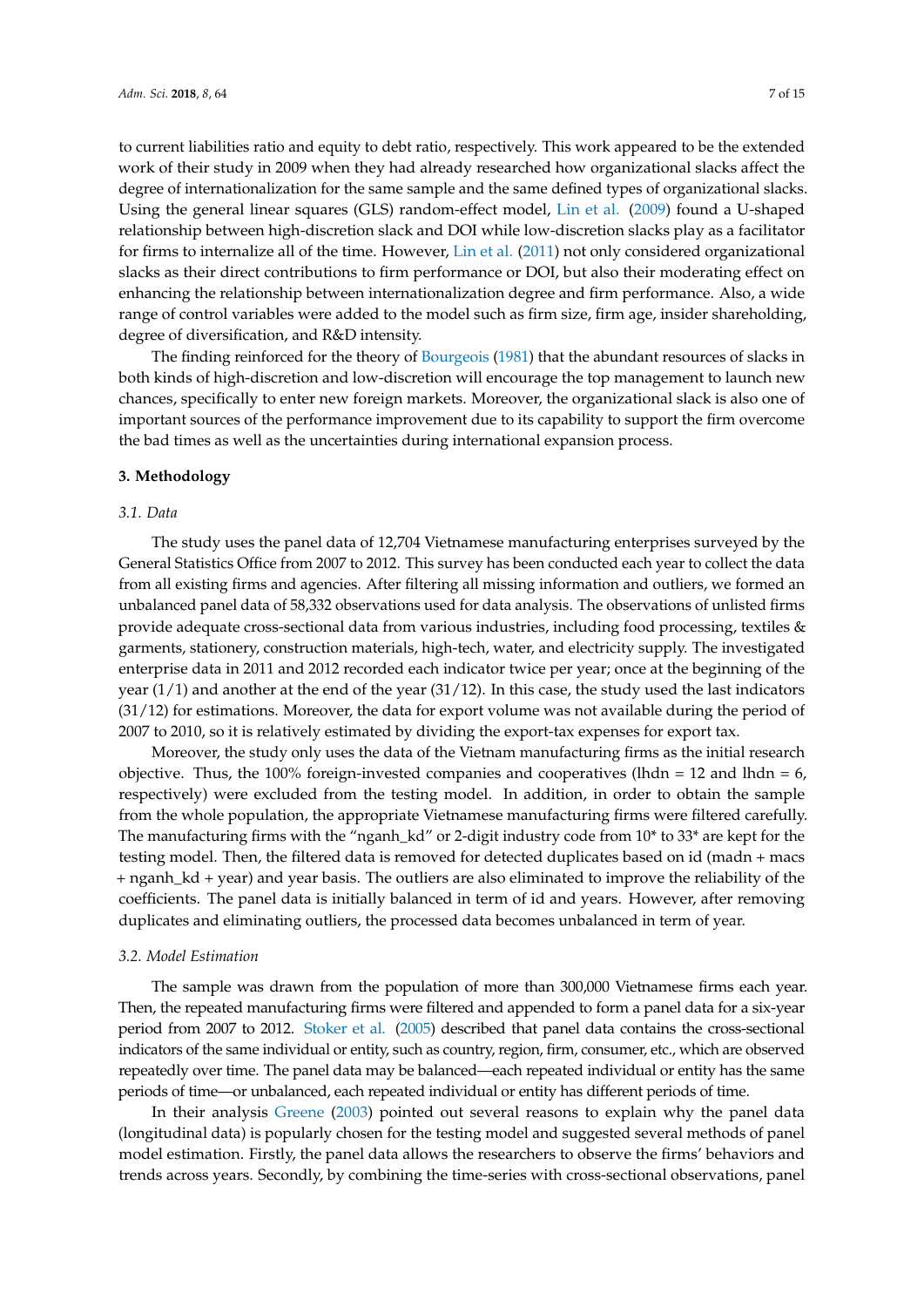to current liabilities ratio and equity to debt ratio, respectively. This work appeared to be the extended work of their study in 2009 when they had already researched how organizational slacks affect the degree of internationalization for the same sample and the same defined types of organizational slacks. Using the general linear squares (GLS) random-effect model, [Lin et al.](#page-14-7) [\(2009\)](#page-14-7) found a U-shaped relationship between high-discretion slack and DOI while low-discretion slacks play as a facilitator for firms to internalize all of the time. However, [Lin et al.](#page-14-3) [\(2011\)](#page-14-3) not only considered organizational slacks as their direct contributions to firm performance or DOI, but also their moderating effect on enhancing the relationship between internationalization degree and firm performance. Also, a wide range of control variables were added to the model such as firm size, firm age, insider shareholding, degree of diversification, and R&D intensity.

The finding reinforced for the theory of [Bourgeois](#page-13-2) [\(1981\)](#page-13-2) that the abundant resources of slacks in both kinds of high-discretion and low-discretion will encourage the top management to launch new chances, specifically to enter new foreign markets. Moreover, the organizational slack is also one of important sources of the performance improvement due to its capability to support the firm overcome the bad times as well as the uncertainties during international expansion process.

#### **3. Methodology**

#### *3.1. Data*

The study uses the panel data of 12,704 Vietnamese manufacturing enterprises surveyed by the General Statistics Office from 2007 to 2012. This survey has been conducted each year to collect the data from all existing firms and agencies. After filtering all missing information and outliers, we formed an unbalanced panel data of 58,332 observations used for data analysis. The observations of unlisted firms provide adequate cross-sectional data from various industries, including food processing, textiles & garments, stationery, construction materials, high-tech, water, and electricity supply. The investigated enterprise data in 2011 and 2012 recorded each indicator twice per year; once at the beginning of the year  $(1/1)$  and another at the end of the year  $(31/12)$ . In this case, the study used the last indicators (31/12) for estimations. Moreover, the data for export volume was not available during the period of 2007 to 2010, so it is relatively estimated by dividing the export-tax expenses for export tax.

Moreover, the study only uses the data of the Vietnam manufacturing firms as the initial research objective. Thus, the 100% foreign-invested companies and cooperatives (lhdn = 12 and lhdn =  $6$ , respectively) were excluded from the testing model. In addition, in order to obtain the sample from the whole population, the appropriate Vietnamese manufacturing firms were filtered carefully. The manufacturing firms with the "nganh\_kd" or 2-digit industry code from 10\* to 33\* are kept for the testing model. Then, the filtered data is removed for detected duplicates based on id (madn + macs + nganh\_kd + year) and year basis. The outliers are also eliminated to improve the reliability of the coefficients. The panel data is initially balanced in term of id and years. However, after removing duplicates and eliminating outliers, the processed data becomes unbalanced in term of year.

#### *3.2. Model Estimation*

The sample was drawn from the population of more than 300,000 Vietnamese firms each year. Then, the repeated manufacturing firms were filtered and appended to form a panel data for a six-year period from 2007 to 2012. [Stoker et al.](#page-14-13) [\(2005\)](#page-14-13) described that panel data contains the cross-sectional indicators of the same individual or entity, such as country, region, firm, consumer, etc., which are observed repeatedly over time. The panel data may be balanced—each repeated individual or entity has the same periods of time—or unbalanced, each repeated individual or entity has different periods of time.

In their analysis [Greene](#page-13-19) [\(2003\)](#page-13-19) pointed out several reasons to explain why the panel data (longitudinal data) is popularly chosen for the testing model and suggested several methods of panel model estimation. Firstly, the panel data allows the researchers to observe the firms' behaviors and trends across years. Secondly, by combining the time-series with cross-sectional observations, panel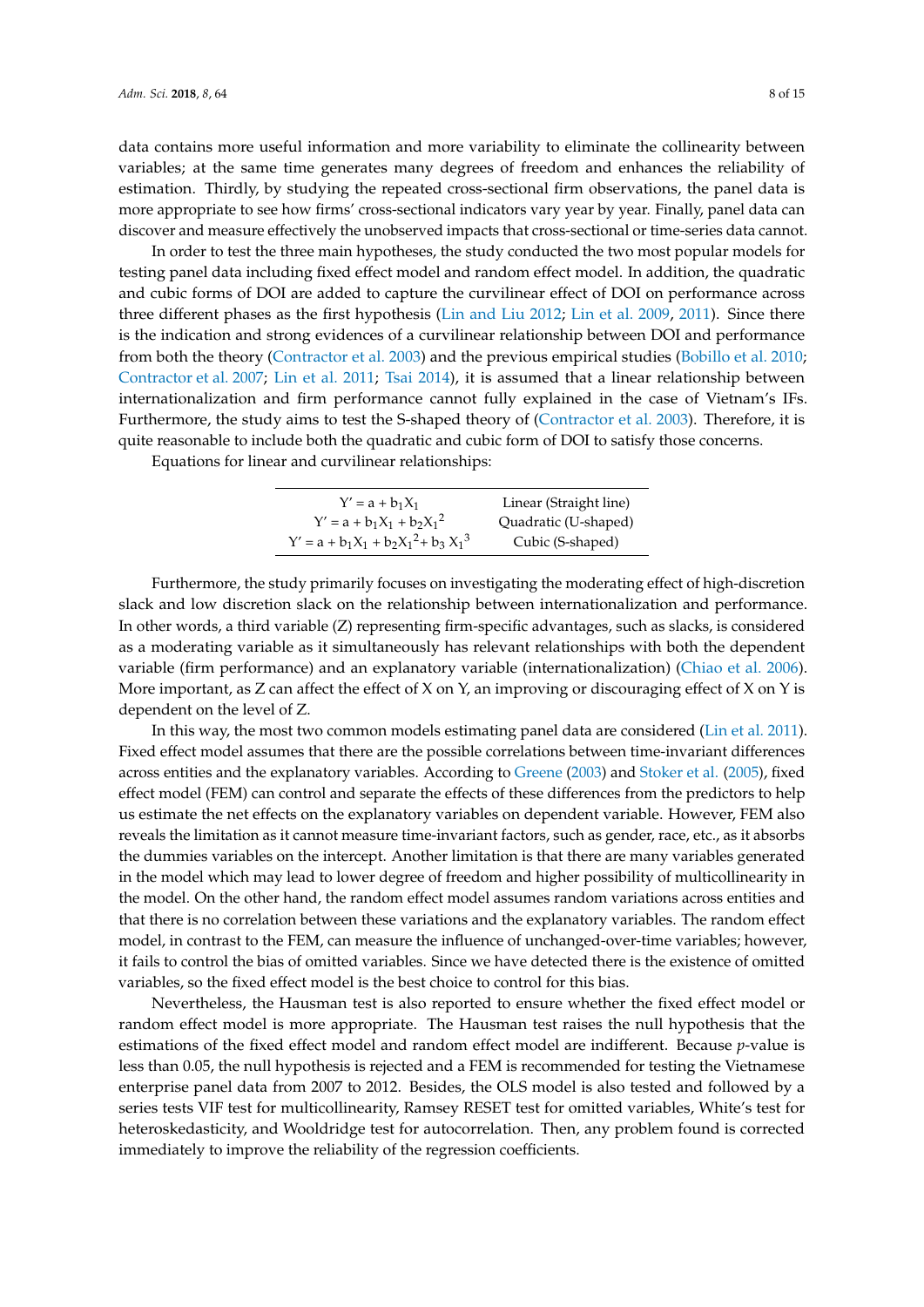data contains more useful information and more variability to eliminate the collinearity between variables; at the same time generates many degrees of freedom and enhances the reliability of estimation. Thirdly, by studying the repeated cross-sectional firm observations, the panel data is more appropriate to see how firms' cross-sectional indicators vary year by year. Finally, panel data can discover and measure effectively the unobserved impacts that cross-sectional or time-series data cannot.

In order to test the three main hypotheses, the study conducted the two most popular models for testing panel data including fixed effect model and random effect model. In addition, the quadratic and cubic forms of DOI are added to capture the curvilinear effect of DOI on performance across three different phases as the first hypothesis [\(Lin and Liu](#page-14-2) [2012;](#page-14-2) [Lin et al.](#page-14-7) [2009,](#page-14-7) [2011\)](#page-14-3). Since there is the indication and strong evidences of a curvilinear relationship between DOI and performance from both the theory [\(Contractor et al.](#page-13-5) [2003\)](#page-13-5) and the previous empirical studies [\(Bobillo et al.](#page-13-10) [2010;](#page-13-10) [Contractor et al.](#page-13-20) [2007;](#page-13-20) [Lin et al.](#page-14-3) [2011;](#page-14-3) [Tsai](#page-14-1) [2014\)](#page-14-1), it is assumed that a linear relationship between internationalization and firm performance cannot fully explained in the case of Vietnam's IFs. Furthermore, the study aims to test the S-shaped theory of [\(Contractor et al.](#page-13-5) [2003\)](#page-13-5). Therefore, it is quite reasonable to include both the quadratic and cubic form of DOI to satisfy those concerns.

Equations for linear and curvilinear relationships:

| $Y' = a + b_1 X_1$                         | Linear (Straight line) |
|--------------------------------------------|------------------------|
| $Y' = a + b_1 X_1 + b_2 X_1^2$             | Quadratic (U-shaped)   |
| $Y' = a + b_1 X_1 + b_2 X_1^2 + b_3 X_1^3$ | Cubic (S-shaped)       |

Furthermore, the study primarily focuses on investigating the moderating effect of high-discretion slack and low discretion slack on the relationship between internationalization and performance. In other words, a third variable (Z) representing firm-specific advantages, such as slacks, is considered as a moderating variable as it simultaneously has relevant relationships with both the dependent variable (firm performance) and an explanatory variable (internationalization) [\(Chiao et al.](#page-13-12) [2006\)](#page-13-12). More important, as  $Z$  can affect the effect of  $X$  on  $Y$ , an improving or discouraging effect of  $X$  on  $Y$  is dependent on the level of Z.

In this way, the most two common models estimating panel data are considered [\(Lin et al.](#page-14-3) [2011\)](#page-14-3). Fixed effect model assumes that there are the possible correlations between time-invariant differences across entities and the explanatory variables. According to [Greene](#page-13-19) [\(2003\)](#page-13-19) and [Stoker et al.](#page-14-13) [\(2005\)](#page-14-13), fixed effect model (FEM) can control and separate the effects of these differences from the predictors to help us estimate the net effects on the explanatory variables on dependent variable. However, FEM also reveals the limitation as it cannot measure time-invariant factors, such as gender, race, etc., as it absorbs the dummies variables on the intercept. Another limitation is that there are many variables generated in the model which may lead to lower degree of freedom and higher possibility of multicollinearity in the model. On the other hand, the random effect model assumes random variations across entities and that there is no correlation between these variations and the explanatory variables. The random effect model, in contrast to the FEM, can measure the influence of unchanged-over-time variables; however, it fails to control the bias of omitted variables. Since we have detected there is the existence of omitted variables, so the fixed effect model is the best choice to control for this bias.

Nevertheless, the Hausman test is also reported to ensure whether the fixed effect model or random effect model is more appropriate. The Hausman test raises the null hypothesis that the estimations of the fixed effect model and random effect model are indifferent. Because *p*-value is less than 0.05, the null hypothesis is rejected and a FEM is recommended for testing the Vietnamese enterprise panel data from 2007 to 2012. Besides, the OLS model is also tested and followed by a series tests VIF test for multicollinearity, Ramsey RESET test for omitted variables, White's test for heteroskedasticity, and Wooldridge test for autocorrelation. Then, any problem found is corrected immediately to improve the reliability of the regression coefficients.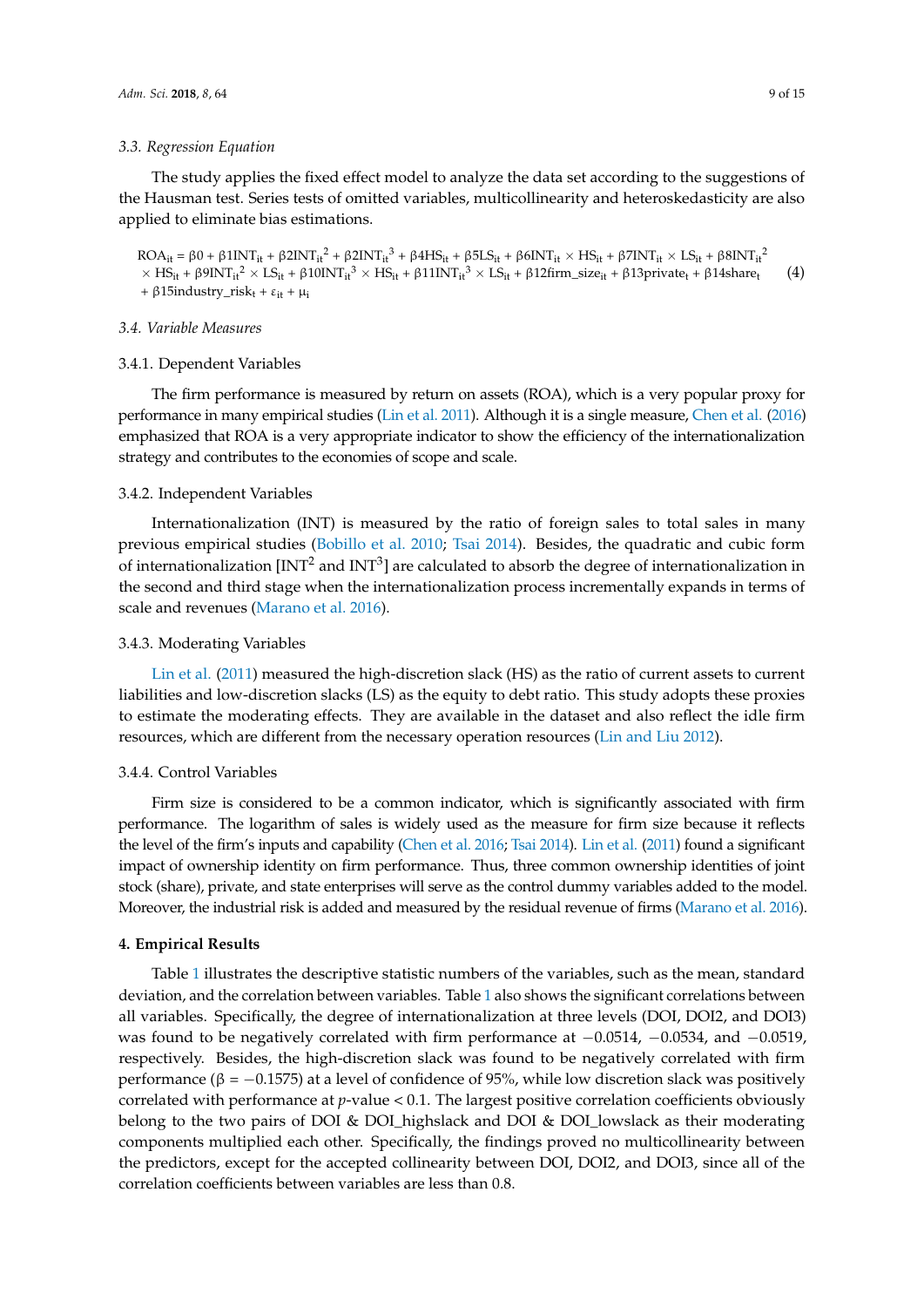#### *3.3. Regression Equation*

The study applies the fixed effect model to analyze the data set according to the suggestions of the Hausman test. Series tests of omitted variables, multicollinearity and heteroskedasticity are also applied to eliminate bias estimations.

 $ROA_{it} = \beta 0 + \beta 1 INT_{it} + \beta 2 INT_{it}^2 + \beta 2 INT_{it}^3 + \beta 4 HS_{it} + \beta 5 LS_{it} + \beta 6 INT_{it} \times HS_{it} + \beta 7 INT_{it} \times LS_{it} + \beta 8 INT_{it}^2$  $\times$  HS<sub>it</sub> + β9INT<sub>it</sub><sup>2</sup>  $\times$  LS<sub>it</sub> + β10INT<sub>it</sub><sup>3</sup>  $\times$  HS<sub>it</sub> + β11INT<sub>it</sub><sup>3</sup>  $\times$  LS<sub>it</sub> + β12firm\_size<sub>it</sub> + β13private<sub>t</sub> + β14share<sub>t</sub> + β15industry\_risk<sub>t</sub> +  $\varepsilon_{it}$  +  $\mu_i$ (4)

#### *3.4. Variable Measures*

#### 3.4.1. Dependent Variables

The firm performance is measured by return on assets (ROA), which is a very popular proxy for performance in many empirical studies [\(Lin et al.](#page-14-3) [2011\)](#page-14-3). Although it is a single measure, [Chen et al.](#page-13-11) [\(2016\)](#page-13-11) emphasized that ROA is a very appropriate indicator to show the efficiency of the internationalization strategy and contributes to the economies of scope and scale.

#### 3.4.2. Independent Variables

Internationalization (INT) is measured by the ratio of foreign sales to total sales in many previous empirical studies [\(Bobillo et al.](#page-13-10) [2010;](#page-13-10) [Tsai](#page-14-1) [2014\)](#page-14-1). Besides, the quadratic and cubic form of internationalization [INT<sup>2</sup> and INT<sup>3</sup>] are calculated to absorb the degree of internationalization in the second and third stage when the internationalization process incrementally expands in terms of scale and revenues [\(Marano et al.](#page-14-0) [2016\)](#page-14-0).

#### 3.4.3. Moderating Variables

[Lin et al.](#page-14-3) [\(2011\)](#page-14-3) measured the high-discretion slack (HS) as the ratio of current assets to current liabilities and low-discretion slacks (LS) as the equity to debt ratio. This study adopts these proxies to estimate the moderating effects. They are available in the dataset and also reflect the idle firm resources, which are different from the necessary operation resources [\(Lin and Liu](#page-14-2) [2012\)](#page-14-2).

## 3.4.4. Control Variables

Firm size is considered to be a common indicator, which is significantly associated with firm performance. The logarithm of sales is widely used as the measure for firm size because it reflects the level of the firm's inputs and capability [\(Chen et al.](#page-13-11) [2016;](#page-13-11) [Tsai](#page-14-1) [2014\)](#page-14-1). [Lin et al.](#page-14-3) [\(2011\)](#page-14-3) found a significant impact of ownership identity on firm performance. Thus, three common ownership identities of joint stock (share), private, and state enterprises will serve as the control dummy variables added to the model. Moreover, the industrial risk is added and measured by the residual revenue of firms [\(Marano et al.](#page-14-0) [2016\)](#page-14-0).

#### **4. Empirical Results**

Table [1](#page-9-0) illustrates the descriptive statistic numbers of the variables, such as the mean, standard deviation, and the correlation between variables. Table [1](#page-9-0) also shows the significant correlations between all variables. Specifically, the degree of internationalization at three levels (DOI, DOI2, and DOI3) was found to be negatively correlated with firm performance at  $-0.0514$ ,  $-0.0534$ , and  $-0.0519$ , respectively. Besides, the high-discretion slack was found to be negatively correlated with firm performance (β = -0.1575) at a level of confidence of 95%, while low discretion slack was positively correlated with performance at *p*-value < 0.1. The largest positive correlation coefficients obviously belong to the two pairs of DOI & DOI\_highslack and DOI & DOI\_lowslack as their moderating components multiplied each other. Specifically, the findings proved no multicollinearity between the predictors, except for the accepted collinearity between DOI, DOI2, and DOI3, since all of the correlation coefficients between variables are less than 0.8.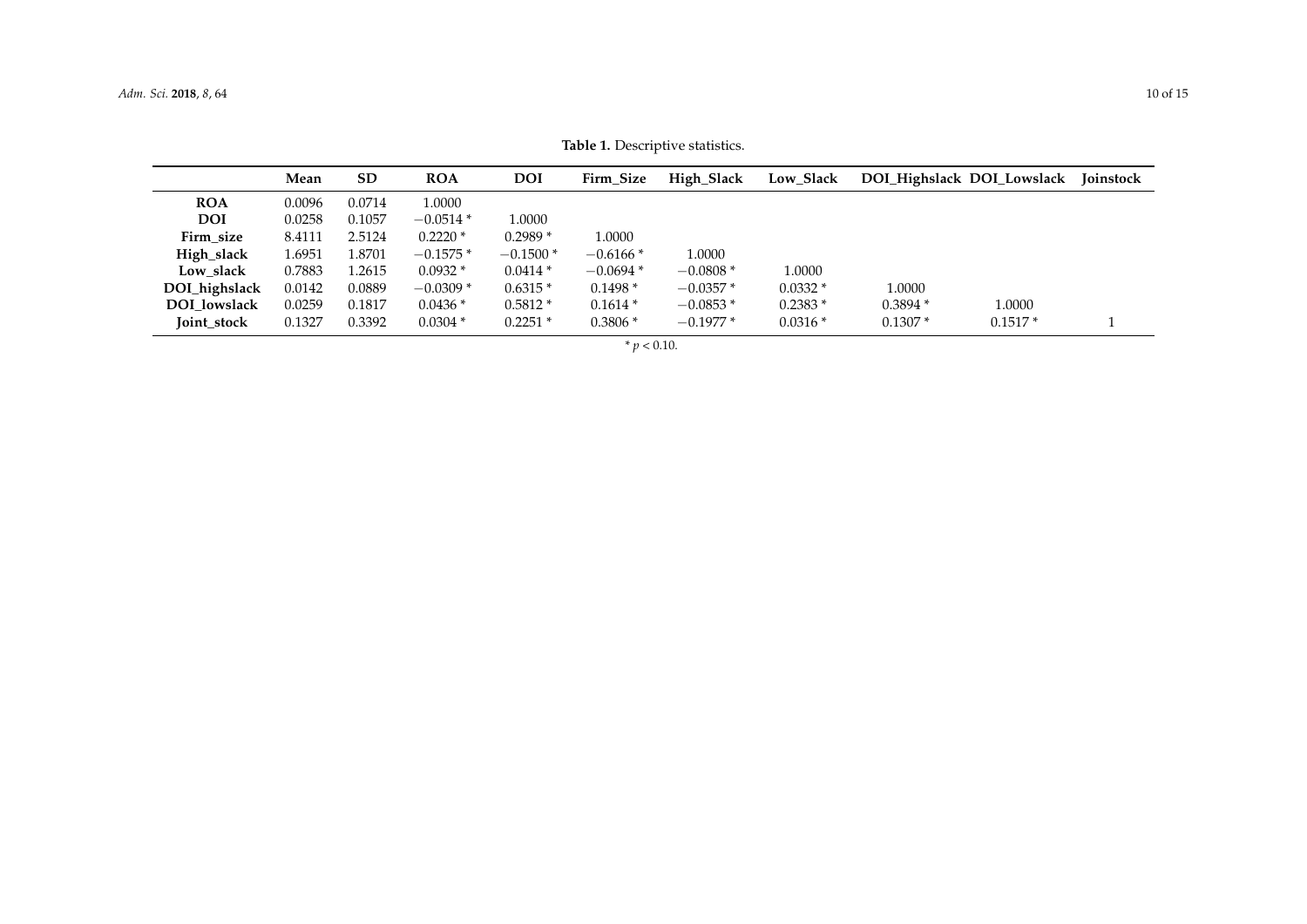**Table 1.** Descriptive statistics.

<span id="page-9-0"></span>

|               | Mean   | SD.    | <b>ROA</b> | <b>DOI</b> | Firm Size  | High Slack | Low Slack |           | DOI Highslack DOI Lowslack | <b>Joinstock</b> |
|---------------|--------|--------|------------|------------|------------|------------|-----------|-----------|----------------------------|------------------|
| <b>ROA</b>    | 0.0096 | 0.0714 | 1.0000     |            |            |            |           |           |                            |                  |
| <b>DOI</b>    | 0.0258 | 0.1057 | $-0.0514*$ | 1.0000     |            |            |           |           |                            |                  |
| Firm size     | 8.4111 | 2.5124 | $0.2220*$  | $0.2989*$  | 1.0000     |            |           |           |                            |                  |
| High_slack    | 1.6951 | 1.8701 | $-0.1575*$ | $-0.1500*$ | $-0.6166*$ | 1.0000     |           |           |                            |                  |
| Low slack     | 0.7883 | 1.2615 | $0.0932*$  | $0.0414*$  | $-0.0694*$ | $-0.0808*$ | 1.0000    |           |                            |                  |
| DOI_highslack | 0.0142 | 0.0889 | $-0.0309*$ | $0.6315*$  | $0.1498*$  | $-0.0357*$ | $0.0332*$ | 1.0000    |                            |                  |
| DOI lowslack  | 0.0259 | 0.1817 | $0.0436*$  | $0.5812*$  | $0.1614*$  | $-0.0853*$ | $0.2383*$ | $0.3894*$ | 1.0000                     |                  |
| Joint_stock   | 0.1327 | 0.3392 | $0.0304*$  | $0.2251*$  | $0.3806*$  | $-0.1977*$ | $0.0316*$ | $0.1307*$ | $0.1517*$                  |                  |

 $* p < 0.10.$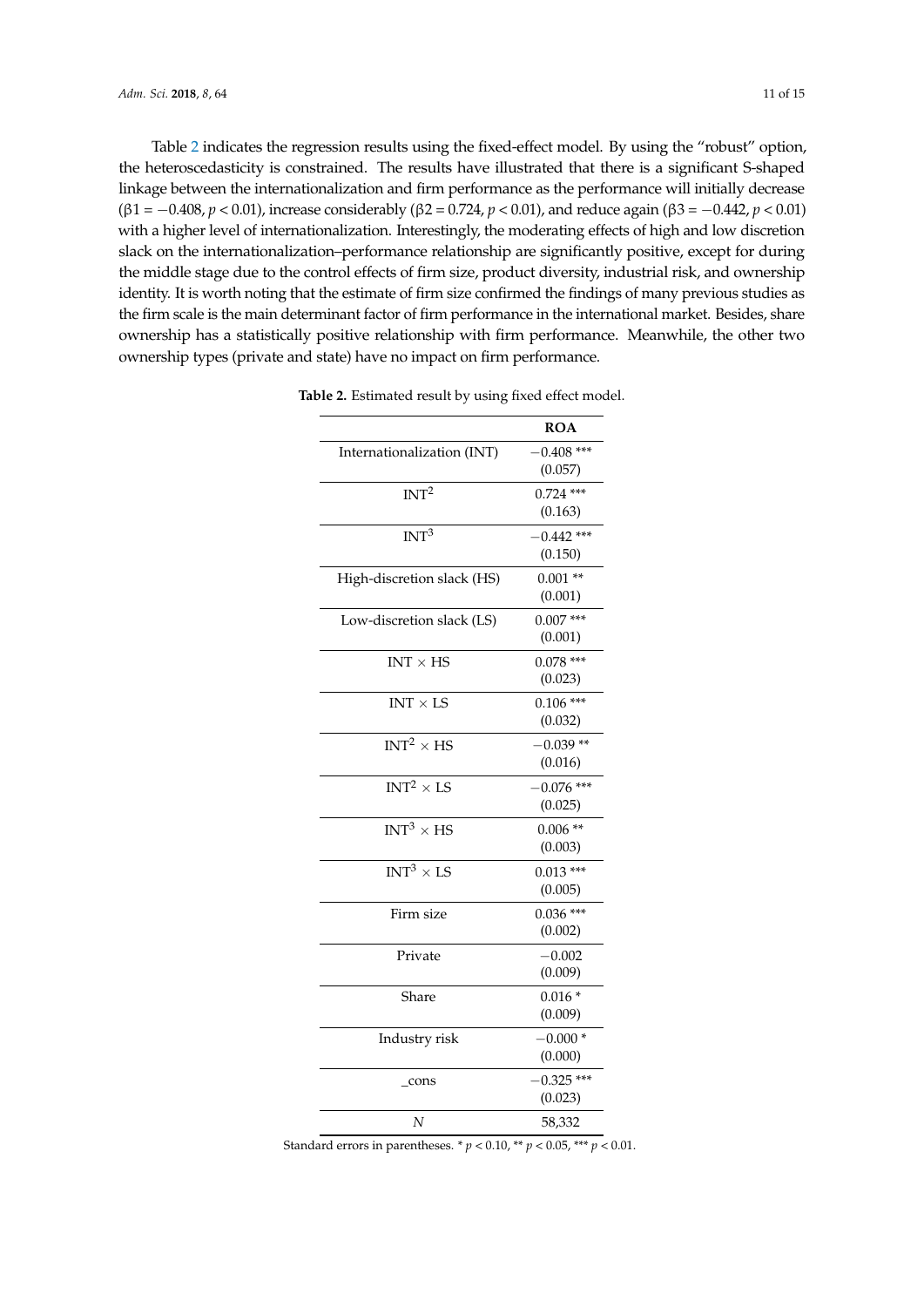Table [2](#page-10-0) indicates the regression results using the fixed-effect model. By using the "robust" option, the heteroscedasticity is constrained. The results have illustrated that there is a significant S-shaped linkage between the internationalization and firm performance as the performance will initially decrease (β1 = −0.408, *p* < 0.01), increase considerably (β2 = 0.724, *p* < 0.01), and reduce again (β3 = −0.442, *p* < 0.01) with a higher level of internationalization. Interestingly, the moderating effects of high and low discretion slack on the internationalization–performance relationship are significantly positive, except for during the middle stage due to the control effects of firm size, product diversity, industrial risk, and ownership identity. It is worth noting that the estimate of firm size confirmed the findings of many previous studies as the firm scale is the main determinant factor of firm performance in the international market. Besides, share ownership has a statistically positive relationship with firm performance. Meanwhile, the other two

|                            | <b>ROA</b>              |
|----------------------------|-------------------------|
| Internationalization (INT) | $-0.408$ ***<br>(0.057) |
| INT <sup>2</sup>           | $0.724$ ***<br>(0.163)  |
| INT <sup>3</sup>           | $-0.442$ ***<br>(0.150) |
| High-discretion slack (HS) | $0.001**$<br>(0.001)    |
| Low-discretion slack (LS)  | $0.007***$<br>(0.001)   |
| $INT \times HS$            | $0.078***$<br>(0.023)   |
| $INT \times LS$            | $0.106$ ***<br>(0.032)  |
| $INT2 \times HS$           | $-0.039**$<br>(0.016)   |
| $INT2 \times LS$           | $-0.076$ ***<br>(0.025) |
| $INT3 \times HS$           | $0.006$ **<br>(0.003)   |
| $INT3 \times LS$           | $0.013$ ***<br>(0.005)  |
| Firm size                  | $0.036$ ***<br>(0.002)  |
| Private                    | $-0.002$<br>(0.009)     |
| Share                      | $0.016*$<br>(0.009)     |
| Industry risk              | $-0.000*$<br>(0.000)    |
| _cons                      | $-0.325$ ***<br>(0.023) |
| N                          | 58,332                  |

**Table 2.** Estimated result by using fixed effect model.

<span id="page-10-0"></span>ownership types (private and state) have no impact on firm performance.

Standard errors in parentheses. \* *p* < 0.10, \*\* *p* < 0.05, \*\*\* *p* < 0.01.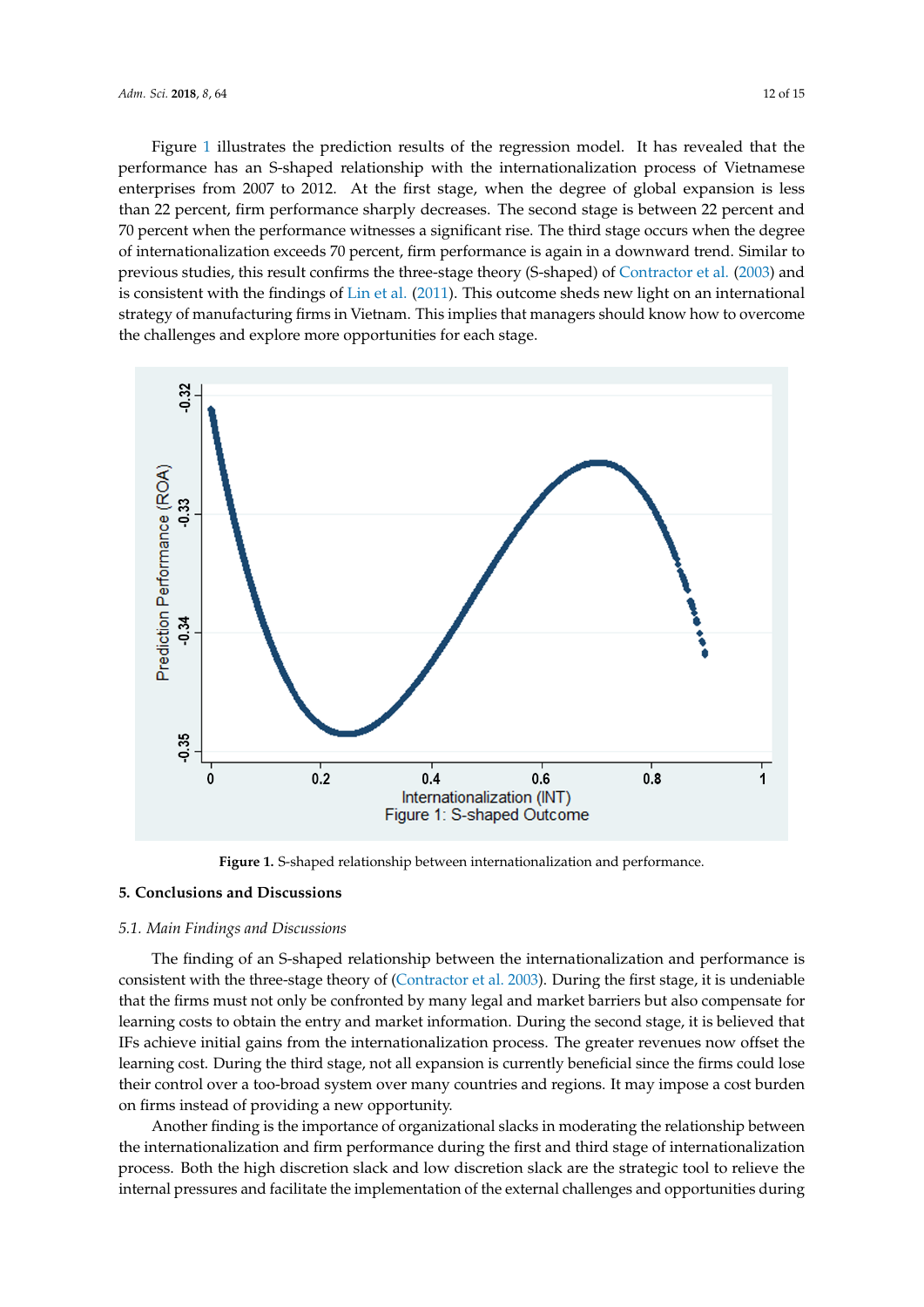Figure [1](#page-11-0) illustrates the prediction results of the regression model. It has revealed that the performance has an S-shaped relationship with the internationalization process of Vietnamese enterprises from 2007 to 2012. At the first stage, when the degree of global expansion is less than 22 percent, firm performance sharply decreases. The second stage is between 22 percent and 70 percent when the performance witnesses a significant rise. The third stage occurs when the degree of internationalization exceeds 70 percent, firm performance is again in a downward trend. Similar to internationalization exceeds 70 percent, firm performance is again in a downward trend. Similar to previous studies, this result confirms the three-stage theory (S-shaped) of [Contractor et al.](#page-13-5) [\(2003\)](#page-13-5) and previous studies, this result confirms the three-stage theory (S-shaped) of Contractor et al. (2003) and is consistent with the findings of [Lin et al.](#page-14-3) [\(2011\)](#page-14-3). This outcome sheds new light on an international is consistent with the findings of Lin et al. (2011). This outcome sheds new light on an international strategy of manufacturing firms in Vietnam. This implies that managers should know how to overcome strategy of manufacturing firms in Vietnam. This implies that managers should know how to the challenges and explore more opportunities for each stage.

<span id="page-11-0"></span>

**Figure 1.** S-shaped relationship between internationalization and performance. **Figure 1.** S-shaped relationship between internationalization and performance.

# **5. Conclusions and Discussions 5. Conclusions and Discussions**

# *5.1. Main Findings and Discussions 5.1. Main Findings and Discussions*

The finding of an S-shaped relationship between the internationalization and performance is The finding of an S-shaped relationship between the internationalization and performance is consistent with the three-stage theory of (Contractor et al. 2003). During the first stage, it is undeniable consistent with the three-stage theory of [\(Contractor et al.](#page-13-5) [2003\)](#page-13-5). During the first stage, it is undeniable that the firms must not only be confronted by many legal and market barriers but also compensate that the firms must not only be confronted by many legal and market barriers but also compensate for learning costs to obtain the entry and market information. During the second stage, it is believed that IFs achieve initial gains from the internationalization process. The greater revenues now offset the the learning cost. During the third stage, not all expansion is currently beneficial since the firms could learning cost. During the third stage, not all expansion is currently beneficial since the firms could lose their control over a too-broad system over many countries and regions. It may impose a cost burden on firms instead of providing a new opportunity.

Another finding is the importance of organizational slacks in moderating the relationship Another finding is the importance of organizational slacks in moderating the relationship between the internationalization and firm performance during the first and third stage of internationalization process. Both the high discretion slack and low discretion slack are the strategic tool to relieve the internal pressures and facilitate the implementation of the external challenges and opportunities during  $\frac{1}{\sqrt{2}}$  two stages (Lin et al. 2011). However, during the second stages (Lin et al. 2011).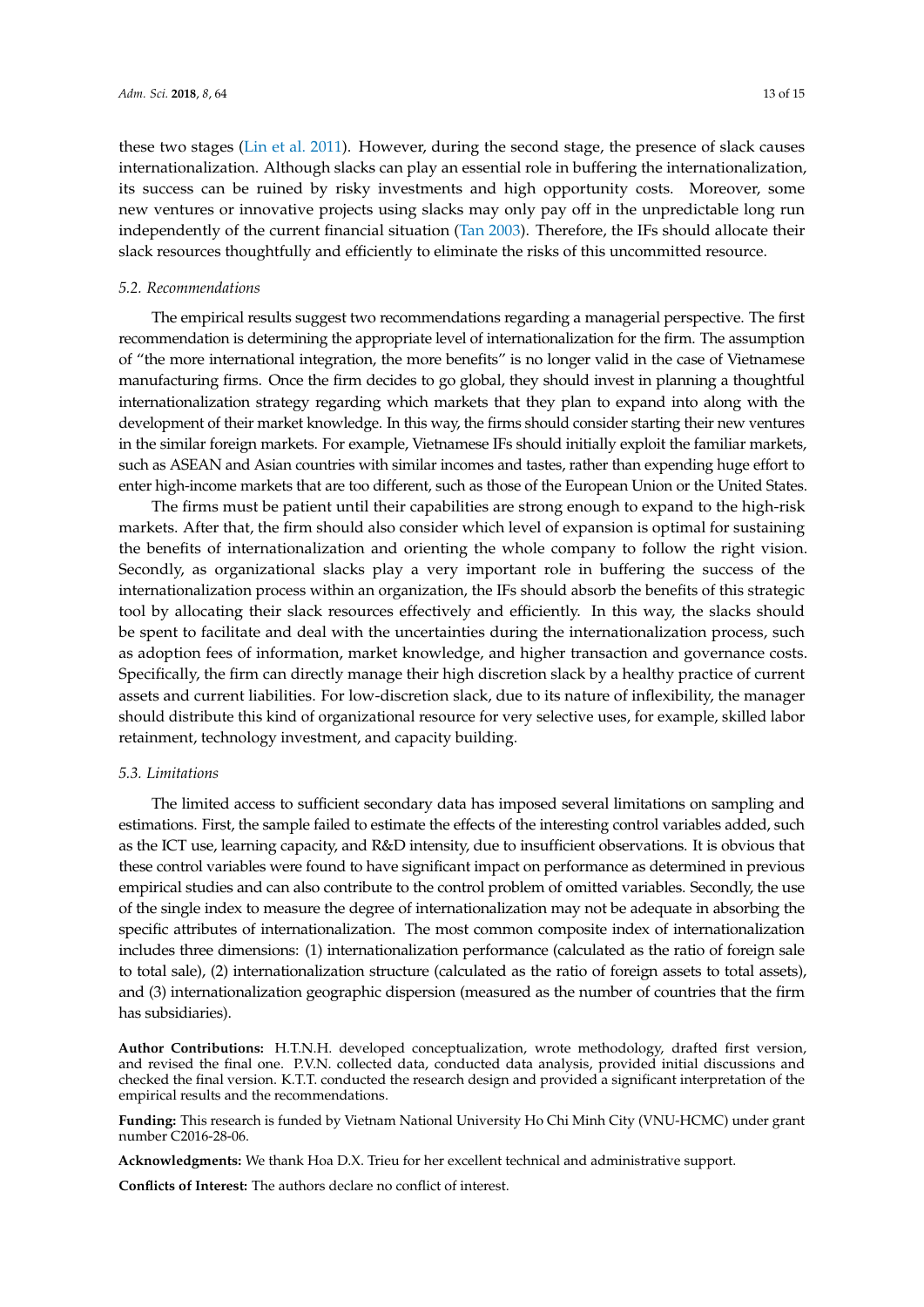these two stages [\(Lin et al.](#page-14-3) [2011\)](#page-14-3). However, during the second stage, the presence of slack causes internationalization. Although slacks can play an essential role in buffering the internationalization, its success can be ruined by risky investments and high opportunity costs. Moreover, some new ventures or innovative projects using slacks may only pay off in the unpredictable long run independently of the current financial situation [\(Tan](#page-14-4) [2003\)](#page-14-4). Therefore, the IFs should allocate their slack resources thoughtfully and efficiently to eliminate the risks of this uncommitted resource.

#### *5.2. Recommendations*

The empirical results suggest two recommendations regarding a managerial perspective. The first recommendation is determining the appropriate level of internationalization for the firm. The assumption of "the more international integration, the more benefits" is no longer valid in the case of Vietnamese manufacturing firms. Once the firm decides to go global, they should invest in planning a thoughtful internationalization strategy regarding which markets that they plan to expand into along with the development of their market knowledge. In this way, the firms should consider starting their new ventures in the similar foreign markets. For example, Vietnamese IFs should initially exploit the familiar markets, such as ASEAN and Asian countries with similar incomes and tastes, rather than expending huge effort to enter high-income markets that are too different, such as those of the European Union or the United States.

The firms must be patient until their capabilities are strong enough to expand to the high-risk markets. After that, the firm should also consider which level of expansion is optimal for sustaining the benefits of internationalization and orienting the whole company to follow the right vision. Secondly, as organizational slacks play a very important role in buffering the success of the internationalization process within an organization, the IFs should absorb the benefits of this strategic tool by allocating their slack resources effectively and efficiently. In this way, the slacks should be spent to facilitate and deal with the uncertainties during the internationalization process, such as adoption fees of information, market knowledge, and higher transaction and governance costs. Specifically, the firm can directly manage their high discretion slack by a healthy practice of current assets and current liabilities. For low-discretion slack, due to its nature of inflexibility, the manager should distribute this kind of organizational resource for very selective uses, for example, skilled labor retainment, technology investment, and capacity building.

#### *5.3. Limitations*

The limited access to sufficient secondary data has imposed several limitations on sampling and estimations. First, the sample failed to estimate the effects of the interesting control variables added, such as the ICT use, learning capacity, and R&D intensity, due to insufficient observations. It is obvious that these control variables were found to have significant impact on performance as determined in previous empirical studies and can also contribute to the control problem of omitted variables. Secondly, the use of the single index to measure the degree of internationalization may not be adequate in absorbing the specific attributes of internationalization. The most common composite index of internationalization includes three dimensions: (1) internationalization performance (calculated as the ratio of foreign sale to total sale), (2) internationalization structure (calculated as the ratio of foreign assets to total assets), and (3) internationalization geographic dispersion (measured as the number of countries that the firm has subsidiaries).

**Author Contributions:** H.T.N.H. developed conceptualization, wrote methodology, drafted first version, and revised the final one. P.V.N. collected data, conducted data analysis, provided initial discussions and checked the final version. K.T.T. conducted the research design and provided a significant interpretation of the empirical results and the recommendations.

**Funding:** This research is funded by Vietnam National University Ho Chi Minh City (VNU-HCMC) under grant number C2016-28-06.

**Acknowledgments:** We thank Hoa D.X. Trieu for her excellent technical and administrative support.

**Conflicts of Interest:** The authors declare no conflict of interest.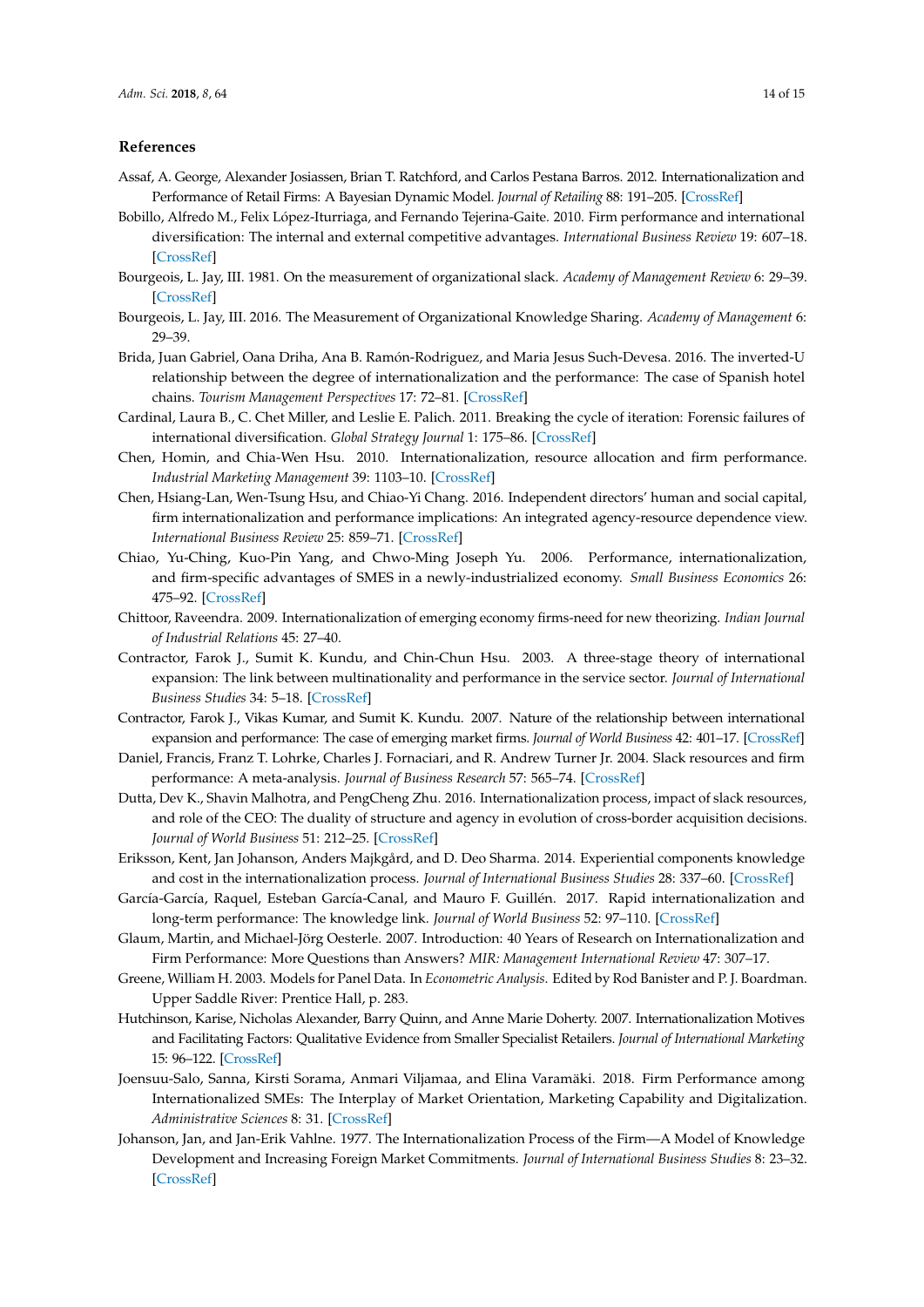#### **References**

- <span id="page-13-15"></span>Assaf, A. George, Alexander Josiassen, Brian T. Ratchford, and Carlos Pestana Barros. 2012. Internationalization and Performance of Retail Firms: A Bayesian Dynamic Model. *Journal of Retailing* 88: 191–205. [\[CrossRef\]](http://dx.doi.org/10.1016/j.jretai.2011.11.005)
- <span id="page-13-10"></span>Bobillo, Alfredo M., Felix López-Iturriaga, and Fernando Tejerina-Gaite. 2010. Firm performance and international diversification: The internal and external competitive advantages. *International Business Review* 19: 607–18. [\[CrossRef\]](http://dx.doi.org/10.1016/j.ibusrev.2010.03.006)
- <span id="page-13-2"></span>Bourgeois, L. Jay, III. 1981. On the measurement of organizational slack. *Academy of Management Review* 6: 29–39. [\[CrossRef\]](http://dx.doi.org/10.5465/amr.1981.4287985)
- <span id="page-13-16"></span>Bourgeois, L. Jay, III. 2016. The Measurement of Organizational Knowledge Sharing. *Academy of Management* 6: 29–39.
- <span id="page-13-17"></span>Brida, Juan Gabriel, Oana Driha, Ana B. Ramón-Rodriguez, and Maria Jesus Such-Devesa. 2016. The inverted-U relationship between the degree of internationalization and the performance: The case of Spanish hotel chains. *Tourism Management Perspectives* 17: 72–81. [\[CrossRef\]](http://dx.doi.org/10.1016/j.tmp.2015.12.016)
- <span id="page-13-1"></span>Cardinal, Laura B., C. Chet Miller, and Leslie E. Palich. 2011. Breaking the cycle of iteration: Forensic failures of international diversification. *Global Strategy Journal* 1: 175–86. [\[CrossRef\]](http://dx.doi.org/10.1002/gsj.17)
- <span id="page-13-7"></span>Chen, Homin, and Chia-Wen Hsu. 2010. Internationalization, resource allocation and firm performance. *Industrial Marketing Management* 39: 1103–10. [\[CrossRef\]](http://dx.doi.org/10.1016/j.indmarman.2009.10.001)
- <span id="page-13-11"></span>Chen, Hsiang-Lan, Wen-Tsung Hsu, and Chiao-Yi Chang. 2016. Independent directors' human and social capital, firm internationalization and performance implications: An integrated agency-resource dependence view. *International Business Review* 25: 859–71. [\[CrossRef\]](http://dx.doi.org/10.1016/j.ibusrev.2015.10.010)
- <span id="page-13-12"></span>Chiao, Yu-Ching, Kuo-Pin Yang, and Chwo-Ming Joseph Yu. 2006. Performance, internationalization, and firm-specific advantages of SMES in a newly-industrialized economy. *Small Business Economics* 26: 475–92. [\[CrossRef\]](http://dx.doi.org/10.1007/s11187-005-5604-6)
- <span id="page-13-0"></span>Chittoor, Raveendra. 2009. Internationalization of emerging economy firms-need for new theorizing. *Indian Journal of Industrial Relations* 45: 27–40.
- <span id="page-13-5"></span>Contractor, Farok J., Sumit K. Kundu, and Chin-Chun Hsu. 2003. A three-stage theory of international expansion: The link between multinationality and performance in the service sector. *Journal of International Business Studies* 34: 5–18. [\[CrossRef\]](http://dx.doi.org/10.1057/palgrave.jibs.8400003)
- <span id="page-13-20"></span>Contractor, Farok J., Vikas Kumar, and Sumit K. Kundu. 2007. Nature of the relationship between international expansion and performance: The case of emerging market firms. *Journal of World Business* 42: 401–17. [\[CrossRef\]](http://dx.doi.org/10.1016/j.jwb.2007.06.003)
- <span id="page-13-18"></span>Daniel, Francis, Franz T. Lohrke, Charles J. Fornaciari, and R. Andrew Turner Jr. 2004. Slack resources and firm performance: A meta-analysis. *Journal of Business Research* 57: 565–74. [\[CrossRef\]](http://dx.doi.org/10.1016/S0148-2963(02)00439-3)
- <span id="page-13-13"></span>Dutta, Dev K., Shavin Malhotra, and PengCheng Zhu. 2016. Internationalization process, impact of slack resources, and role of the CEO: The duality of structure and agency in evolution of cross-border acquisition decisions. *Journal of World Business* 51: 212–25. [\[CrossRef\]](http://dx.doi.org/10.1016/j.jwb.2015.07.001)
- <span id="page-13-9"></span>Eriksson, Kent, Jan Johanson, Anders Majkgård, and D. Deo Sharma. 2014. Experiential components knowledge and cost in the internationalization process. *Journal of International Business Studies* 28: 337–60. [\[CrossRef\]](http://dx.doi.org/10.1057/palgrave.jibs.8490104)
- <span id="page-13-14"></span>García-García, Raquel, Esteban García-Canal, and Mauro F. Guillén. 2017. Rapid internationalization and long-term performance: The knowledge link. *Journal of World Business* 52: 97–110. [\[CrossRef\]](http://dx.doi.org/10.1016/j.jwb.2016.09.005)
- <span id="page-13-8"></span>Glaum, Martin, and Michael-Jörg Oesterle. 2007. Introduction: 40 Years of Research on Internationalization and Firm Performance: More Questions than Answers? *MIR: Management International Review* 47: 307–17.
- <span id="page-13-19"></span>Greene, William H. 2003. Models for Panel Data. In *Econometric Analysis*. Edited by Rod Banister and P. J. Boardman. Upper Saddle River: Prentice Hall, p. 283.
- <span id="page-13-6"></span>Hutchinson, Karise, Nicholas Alexander, Barry Quinn, and Anne Marie Doherty. 2007. Internationalization Motives and Facilitating Factors: Qualitative Evidence from Smaller Specialist Retailers. *Journal of International Marketing* 15: 96–122. [\[CrossRef\]](http://dx.doi.org/10.1509/jimk.15.3.96)
- <span id="page-13-3"></span>Joensuu-Salo, Sanna, Kirsti Sorama, Anmari Viljamaa, and Elina Varamäki. 2018. Firm Performance among Internationalized SMEs: The Interplay of Market Orientation, Marketing Capability and Digitalization. *Administrative Sciences* 8: 31. [\[CrossRef\]](http://dx.doi.org/10.3390/admsci8030031)
- <span id="page-13-4"></span>Johanson, Jan, and Jan-Erik Vahlne. 1977. The Internationalization Process of the Firm—A Model of Knowledge Development and Increasing Foreign Market Commitments. *Journal of International Business Studies* 8: 23–32. [\[CrossRef\]](http://dx.doi.org/10.1057/palgrave.jibs.8490676)